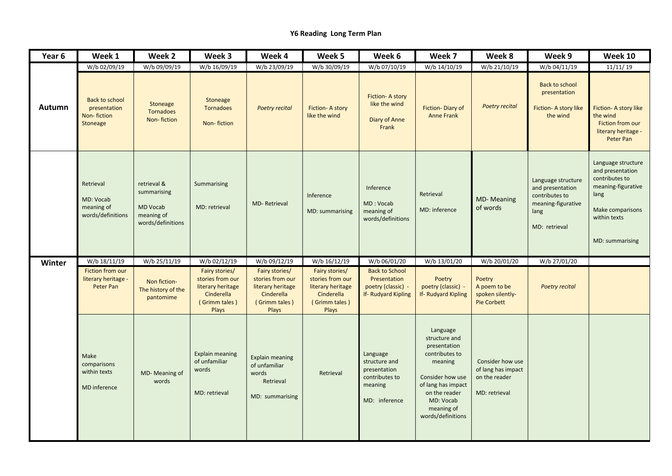## **Y6 Reading Long Term Plan**

| Year 6        | Week 1                                                           | Week 2                                                                    | Week 3                                                                                                 | Week 4                                                                                          | Week 5                                                                                          | Week 6                                                                                  | Week 7                                                                                                                                                                            | Week 8                                                                   | Week 9                                                                                                  | Week 10                                                                                                                                       |
|---------------|------------------------------------------------------------------|---------------------------------------------------------------------------|--------------------------------------------------------------------------------------------------------|-------------------------------------------------------------------------------------------------|-------------------------------------------------------------------------------------------------|-----------------------------------------------------------------------------------------|-----------------------------------------------------------------------------------------------------------------------------------------------------------------------------------|--------------------------------------------------------------------------|---------------------------------------------------------------------------------------------------------|-----------------------------------------------------------------------------------------------------------------------------------------------|
|               | W/b 02/09/19                                                     | W/b 09/09/19                                                              | W/b 16/09/19                                                                                           | W/b 23/09/19                                                                                    | W/b 30/09/19                                                                                    | W/b 07/10/19                                                                            | W/b 14/10/19                                                                                                                                                                      | W/b 21/10/19                                                             | W/b 04/11/19                                                                                            | 11/11/19                                                                                                                                      |
| <b>Autumn</b> | <b>Back to school</b><br>presentation<br>Non-fiction<br>Stoneage | Stoneage<br><b>Tornadoes</b><br>Non-fiction                               | Stoneage<br><b>Tornadoes</b><br>Non-fiction                                                            | <b>Poetry recital</b>                                                                           | Fiction- A story<br>like the wind                                                               | Fiction-A story<br>like the wind<br>Diary of Anne<br>Frank                              | Fiction-Diary of<br><b>Anne Frank</b>                                                                                                                                             | <b>Poetry recital</b>                                                    | <b>Back to school</b><br>presentation<br>Fiction- A story like<br>the wind                              | Fiction- A story like<br>the wind<br>Fiction from our<br>literary heritage -<br>Peter Pan                                                     |
|               | Retrieval<br>MD: Vocab<br>meaning of<br>words/definitions        | retrieval &<br>summarising<br>MD Vocab<br>meaning of<br>words/definitions | Summarising<br>MD: retrieval                                                                           | <b>MD-Retrieval</b>                                                                             | Inference<br>MD: summarising                                                                    | Inference<br>MD: Vocab<br>meaning of<br>words/definitions                               | Retrieval<br>MD: inference                                                                                                                                                        | <b>MD-Meaning</b><br>of words                                            | Language structure<br>and presentation<br>contributes to<br>meaning-figurative<br>lang<br>MD: retrieval | Language structure<br>and presentation<br>contributes to<br>meaning-figurative<br>lang<br>Make comparisons<br>within texts<br>MD: summarising |
| Winter        | W/b 18/11/19                                                     | W/b 25/11/19                                                              | W/b 02/12/19                                                                                           | W/b 09/12/19                                                                                    | W/b 16/12/19                                                                                    | W/b 06/01/20                                                                            | W/b 13/01/20                                                                                                                                                                      | W/b 20/01/20                                                             | W/b 27/01/20                                                                                            |                                                                                                                                               |
|               | Fiction from our<br>literary heritage -<br>Peter Pan             | Non fiction-<br>The history of the<br>pantomime                           | Fairy stories/<br>stories from our<br>literary heritage<br>Cinderella<br>(Grimm tales)<br><b>Plays</b> | Fairy stories/<br>stories from our<br>literary heritage<br>Cinderella<br>(Grimm tales)<br>Plays | Fairy stories/<br>stories from our<br>literary heritage<br>Cinderella<br>(Grimm tales)<br>Plays | <b>Back to School</b><br>Presentation<br>poetry (classic) -<br>If- Rudyard Kipling      | Poetry<br>poetry (classic) -<br>If-Rudyard Kipling                                                                                                                                | Poetry<br>A poem to be<br>spoken silently-<br><b>Pie Corbett</b>         | <b>Poetry recital</b>                                                                                   |                                                                                                                                               |
|               | Make<br>comparisons<br>within texts<br><b>MD</b> inference       | MD-Meaning of<br>words                                                    | <b>Explain meaning</b><br>of unfamiliar<br>words<br>MD: retrieval                                      | <b>Explain meaning</b><br>of unfamiliar<br>words<br>Retrieval<br>MD: summarising                | Retrieval                                                                                       | Language<br>structure and<br>presentation<br>contributes to<br>meaning<br>MD: inference | Language<br>structure and<br>presentation<br>contributes to<br>meaning<br>Consider how use<br>of lang has impact<br>on the reader<br>MD: Vocab<br>meaning of<br>words/definitions | Consider how use<br>of lang has impact<br>on the reader<br>MD: retrieval |                                                                                                         |                                                                                                                                               |